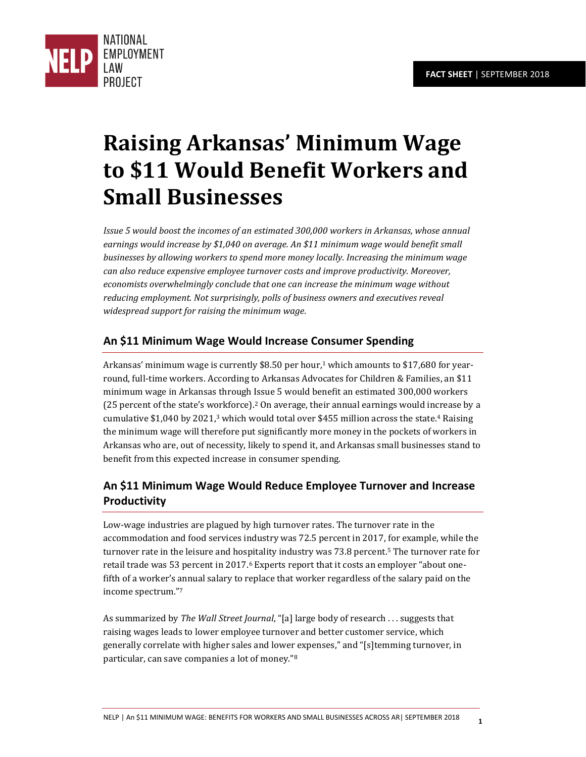

# **Raising Arkansas' Minimum Wage to \$11 Would Benefit Workers and Small Businesses**

*Issue 5 would boost the incomes of an estimated 300,000 workers in Arkansas, whose annual earnings would increase by \$1,040 on average. An \$11 minimum wage would benefit small businesses by allowing workers to spend more money locally. Increasing the minimum wage can also reduce expensive employee turnover costs and improve productivity. Moreover, economists overwhelmingly conclude that one can increase the minimum wage without reducing employment. Not surprisingly, polls of business owners and executives reveal widespread support for raising the minimum wage.* 

## **An \$11 Minimum Wage Would Increase Consumer Spending**

Arkansas' minimum wage is currently \$8.50 per hour,<sup>1</sup> which amounts to \$17,680 for yearround, full-time workers. According to Arkansas Advocates for Children & Families, an \$11 minimum wage in Arkansas through Issue 5 would benefit an estimated 300,000 workers (25 percent of the state's workforce).<sup>2</sup> On average, their annual earnings would increase by a cumulative  $$1,040$  by  $2021$ ,<sup>3</sup> which would total over  $$455$  million across the state.<sup>4</sup> Raising the minimum wage will therefore put significantly more money in the pockets of workers in Arkansas who are, out of necessity, likely to spend it, and Arkansas small businesses stand to benefit from this expected increase in consumer spending.

# **An \$11 Minimum Wage Would Reduce Employee Turnover and Increase Productivity**

Low-wage industries are plagued by high turnover rates. The turnover rate in the accommodation and food services industry was 72.5 percent in 2017, for example, while the turnover rate in the leisure and hospitality industry was 73.8 percent.<sup>5</sup> The turnover rate for retail trade was 53 percent in 2017.<sup>6</sup> Experts report that it costs an employer "about onefifth of a worker's annual salary to replace that worker regardless of the salary paid on the income spectrum."<sup>7</sup>

As summarized by *The Wall Street Journal*, "[a] large body of research . . . suggests that raising wages leads to lower employee turnover and better customer service, which generally correlate with higher sales and lower expenses," and "[s]temming turnover, in particular, can save companies a lot of money."<sup>8</sup>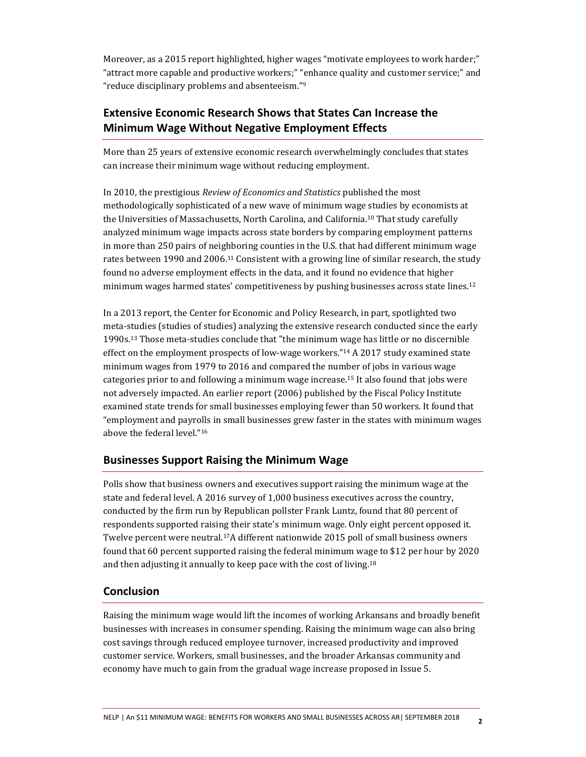Moreover, as a 2015 report highlighted, higher wages "motivate employees to work harder;" "attract more capable and productive workers;" "enhance quality and customer service;" and "reduce disciplinary problems and absenteeism." 9

## **Extensive Economic Research Shows that States Can Increase the Minimum Wage Without Negative Employment Effects**

More than 25 years of extensive economic research overwhelmingly concludes that states can increase their minimum wage without reducing employment.

In 2010, the prestigious *Review of Economics and Statistics* published the most methodologically sophisticated of a new wave of minimum wage studies by economists at the Universities of Massachusetts, North Carolina, and California.10 That study carefully analyzed minimum wage impacts across state borders by comparing employment patterns in more than 250 pairs of neighboring counties in the U.S. that had different minimum wage rates between 1990 and 2006.<sup>11</sup> Consistent with a growing line of similar research, the study found no adverse employment effects in the data, and it found no evidence that higher minimum wages harmed states' competitiveness by pushing businesses across state lines.<sup>12</sup>

In a 2013 report, the Center for Economic and Policy Research, in part, spotlighted two meta-studies (studies of studies) analyzing the extensive research conducted since the early 1990s. <sup>13</sup> Those meta-studies conclude that "the minimum wage has little or no discernible effect on the employment prospects of low-wage workers." <sup>14</sup> A 2017 study examined state minimum wages from 1979 to 2016 and compared the number of jobs in various wage categories prior to and following a minimum wage increase.15 It also found that jobs were not adversely impacted. An earlier report (2006) published by the Fiscal Policy Institute examined state trends for small businesses employing fewer than 50 workers. It found that "employment and payrolls in small businesses grew faster in the states with minimum wages above the federal level."<sup>16</sup>

#### **Businesses Support Raising the Minimum Wage**

Polls show that business owners and executives support raising the minimum wage at the state and federal level. A 2016 survey of 1,000 business executives across the country, conducted by the firm run by Republican pollster Frank Luntz, found that 80 percent of respondents supported raising their state's minimum wage. Only eight percent opposed it. Twelve percent were neutral.17A different nationwide 2015 poll of small business owners found that 60 percent supported raising the federal minimum wage to \$12 per hour by 2020 and then adjusting it annually to keep pace with the cost of living.<sup>18</sup>

#### **Conclusion**

Raising the minimum wage would lift the incomes of working Arkansans and broadly benefit businesses with increases in consumer spending. Raising the minimum wage can also bring cost savings through reduced employee turnover, increased productivity and improved customer service. Workers, small businesses, and the broader Arkansas community and economy have much to gain from the gradual wage increase proposed in Issue 5.